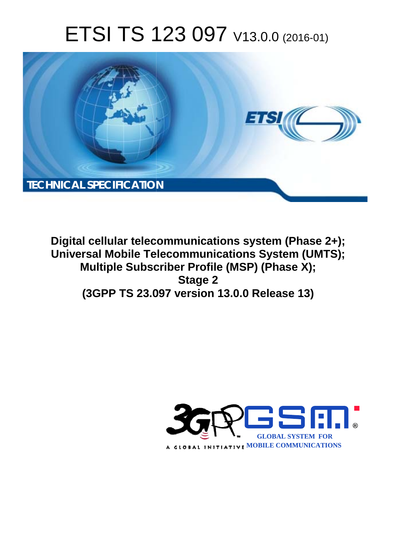# ETSI TS 123 097 V13.0.0 (2016-01)



**Digital cellular telecommunications system (Phase 2+); Universal Mobile Tel elecommunications System ( (UMTS); Multiple Subscriber Profile (MSP) (Phase X); (3GPP TS 23.0 .097 version 13.0.0 Release 13 13) Stage 2** 

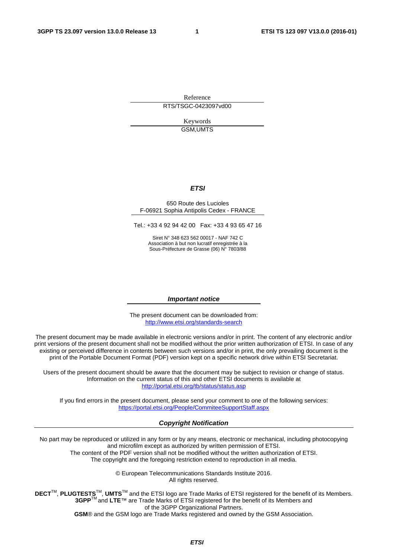Reference RTS/TSGC-0423097vd00

> Keywords GSM,UMTS

### *ETSI*

### 650 Route des Lucioles F-06921 Sophia Antipolis Cedex - FRANCE

Tel.: +33 4 92 94 42 00 Fax: +33 4 93 65 47 16

Siret N° 348 623 562 00017 - NAF 742 C Association à but non lucratif enregistrée à la Sous-Préfecture de Grasse (06) N° 7803/88

### *Important notice*

The present document can be downloaded from: <http://www.etsi.org/standards-search>

The present document may be made available in electronic versions and/or in print. The content of any electronic and/or print versions of the present document shall not be modified without the prior written authorization of ETSI. In case of any existing or perceived difference in contents between such versions and/or in print, the only prevailing document is the print of the Portable Document Format (PDF) version kept on a specific network drive within ETSI Secretariat.

Users of the present document should be aware that the document may be subject to revision or change of status. Information on the current status of this and other ETSI documents is available at <http://portal.etsi.org/tb/status/status.asp>

If you find errors in the present document, please send your comment to one of the following services: <https://portal.etsi.org/People/CommiteeSupportStaff.aspx>

### *Copyright Notification*

No part may be reproduced or utilized in any form or by any means, electronic or mechanical, including photocopying and microfilm except as authorized by written permission of ETSI.

The content of the PDF version shall not be modified without the written authorization of ETSI. The copyright and the foregoing restriction extend to reproduction in all media.

> © European Telecommunications Standards Institute 2016. All rights reserved.

**DECT**TM, **PLUGTESTS**TM, **UMTS**TM and the ETSI logo are Trade Marks of ETSI registered for the benefit of its Members. **3GPP**TM and **LTE**™ are Trade Marks of ETSI registered for the benefit of its Members and of the 3GPP Organizational Partners.

**GSM**® and the GSM logo are Trade Marks registered and owned by the GSM Association.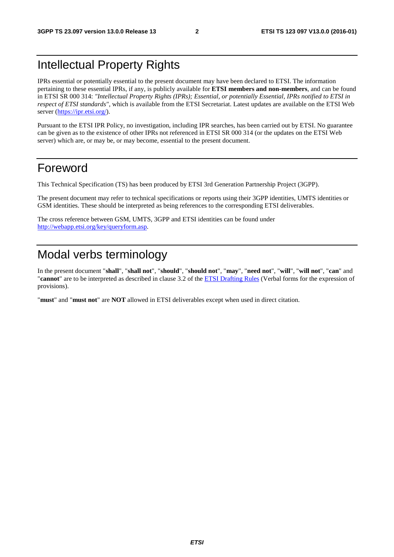# Intellectual Property Rights

IPRs essential or potentially essential to the present document may have been declared to ETSI. The information pertaining to these essential IPRs, if any, is publicly available for **ETSI members and non-members**, and can be found in ETSI SR 000 314: *"Intellectual Property Rights (IPRs); Essential, or potentially Essential, IPRs notified to ETSI in respect of ETSI standards"*, which is available from the ETSI Secretariat. Latest updates are available on the ETSI Web server [\(https://ipr.etsi.org/](https://ipr.etsi.org/)).

Pursuant to the ETSI IPR Policy, no investigation, including IPR searches, has been carried out by ETSI. No guarantee can be given as to the existence of other IPRs not referenced in ETSI SR 000 314 (or the updates on the ETSI Web server) which are, or may be, or may become, essential to the present document.

# Foreword

This Technical Specification (TS) has been produced by ETSI 3rd Generation Partnership Project (3GPP).

The present document may refer to technical specifications or reports using their 3GPP identities, UMTS identities or GSM identities. These should be interpreted as being references to the corresponding ETSI deliverables.

The cross reference between GSM, UMTS, 3GPP and ETSI identities can be found under [http://webapp.etsi.org/key/queryform.asp.](http://webapp.etsi.org/key/queryform.asp)

# Modal verbs terminology

In the present document "**shall**", "**shall not**", "**should**", "**should not**", "**may**", "**need not**", "**will**", "**will not**", "**can**" and "**cannot**" are to be interpreted as described in clause 3.2 of the [ETSI Drafting Rules](http://portal.etsi.org/Help/editHelp!/Howtostart/ETSIDraftingRules.aspx) (Verbal forms for the expression of provisions).

"**must**" and "**must not**" are **NOT** allowed in ETSI deliverables except when used in direct citation.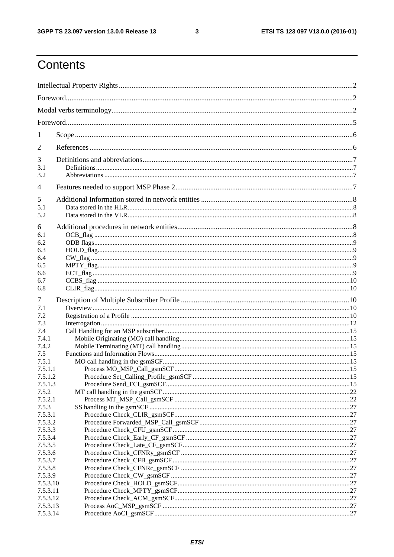$\mathbf{3}$ 

# Contents

| 1                  |  |  |  |
|--------------------|--|--|--|
| 2                  |  |  |  |
| 3<br>3.1<br>3.2    |  |  |  |
| 4                  |  |  |  |
| 5<br>5.1<br>5.2    |  |  |  |
| 6                  |  |  |  |
| 6.1<br>6.2         |  |  |  |
| 6.3                |  |  |  |
| 6.4<br>6.5         |  |  |  |
| 6.6                |  |  |  |
| 6.7                |  |  |  |
| 6.8                |  |  |  |
| 7                  |  |  |  |
| 7.1                |  |  |  |
| 7.2                |  |  |  |
| 7.3<br>7.4         |  |  |  |
| 7.4.1              |  |  |  |
| 7.4.2              |  |  |  |
| 7.5                |  |  |  |
| 7.5.1              |  |  |  |
| 7.5.1.1            |  |  |  |
| 7.5.1.2            |  |  |  |
| 7.5.1.3<br>7.5.2   |  |  |  |
| 7.5.2.1            |  |  |  |
| 7.5.3              |  |  |  |
| 7.5.3.1            |  |  |  |
| 7.5.3.2            |  |  |  |
| 7.5.3.3            |  |  |  |
| 7.5.3.4            |  |  |  |
| 7.5.3.5            |  |  |  |
| 7.5.3.6<br>7.5.3.7 |  |  |  |
| 7.5.3.8            |  |  |  |
| 7.5.3.9            |  |  |  |
| 7.5.3.10           |  |  |  |
| 7.5.3.11           |  |  |  |
| 7.5.3.12           |  |  |  |
| 7.5.3.13           |  |  |  |
| 7.5.3.14           |  |  |  |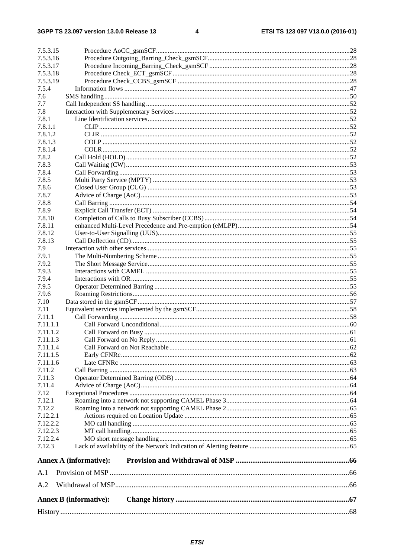| 7.5.3.15          |                               |  |  |  |  |
|-------------------|-------------------------------|--|--|--|--|
| 7.5.3.16          |                               |  |  |  |  |
| 7.5.3.17          |                               |  |  |  |  |
| 7.5.3.18          |                               |  |  |  |  |
| 7.5.3.19<br>7.5.4 |                               |  |  |  |  |
|                   |                               |  |  |  |  |
| 7.6               |                               |  |  |  |  |
| 7.7<br>7.8        |                               |  |  |  |  |
| 7.8.1             |                               |  |  |  |  |
| 7.8.1.1           |                               |  |  |  |  |
| 7.8.1.2           |                               |  |  |  |  |
| 7.8.1.3           |                               |  |  |  |  |
| 7.8.1.4           |                               |  |  |  |  |
| 7.8.2             |                               |  |  |  |  |
| 7.8.3             |                               |  |  |  |  |
| 7.8.4             |                               |  |  |  |  |
| 7.8.5             |                               |  |  |  |  |
| 7.8.6             |                               |  |  |  |  |
| 7.8.7             |                               |  |  |  |  |
| 7.8.8             |                               |  |  |  |  |
| 7.8.9             |                               |  |  |  |  |
| 7.8.10            |                               |  |  |  |  |
| 7.8.11            |                               |  |  |  |  |
| 7.8.12            |                               |  |  |  |  |
| 7.8.13            |                               |  |  |  |  |
| 7.9               |                               |  |  |  |  |
| 7.9.1             |                               |  |  |  |  |
| 7.9.2             |                               |  |  |  |  |
| 7.9.3             |                               |  |  |  |  |
| 7.9.4             |                               |  |  |  |  |
| 7.9.5             |                               |  |  |  |  |
| 7.9.6             |                               |  |  |  |  |
| 7.10              |                               |  |  |  |  |
| 7.11              |                               |  |  |  |  |
| 7.11.1            |                               |  |  |  |  |
| 7.11.1.1          |                               |  |  |  |  |
| 7.11.1.2          |                               |  |  |  |  |
| 7.11.1.3          |                               |  |  |  |  |
| 7.11.1.4          |                               |  |  |  |  |
| 7.11.1.5          |                               |  |  |  |  |
| 7.11.1.6          |                               |  |  |  |  |
| 7.11.2            |                               |  |  |  |  |
| 7.11.3            |                               |  |  |  |  |
| 7.11.4            |                               |  |  |  |  |
| 7.12              |                               |  |  |  |  |
| 7.12.1            |                               |  |  |  |  |
| 7.12.2            |                               |  |  |  |  |
| 7.12.2.1          |                               |  |  |  |  |
| 7.12.2.2          |                               |  |  |  |  |
| 7.12.2.3          |                               |  |  |  |  |
| 7.12.2.4          |                               |  |  |  |  |
| 7.12.3            |                               |  |  |  |  |
|                   | <b>Annex A (informative):</b> |  |  |  |  |
| A.1               |                               |  |  |  |  |
| A.2               |                               |  |  |  |  |
|                   | <b>Annex B</b> (informative): |  |  |  |  |
|                   |                               |  |  |  |  |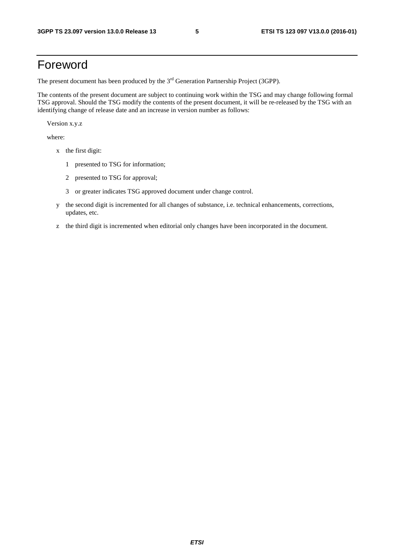# Foreword

The present document has been produced by the  $3<sup>rd</sup>$  Generation Partnership Project (3GPP).

The contents of the present document are subject to continuing work within the TSG and may change following formal TSG approval. Should the TSG modify the contents of the present document, it will be re-released by the TSG with an identifying change of release date and an increase in version number as follows:

Version x.y.z

where:

- x the first digit:
	- 1 presented to TSG for information;
	- 2 presented to TSG for approval;
	- 3 or greater indicates TSG approved document under change control.
- y the second digit is incremented for all changes of substance, i.e. technical enhancements, corrections, updates, etc.
- z the third digit is incremented when editorial only changes have been incorporated in the document.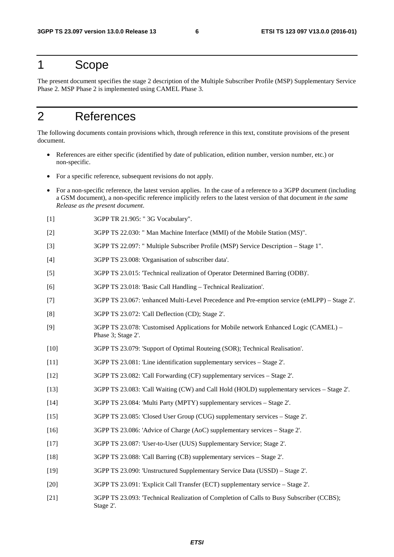# 1 Scope

The present document specifies the stage 2 description of the Multiple Subscriber Profile (MSP) Supplementary Service Phase 2. MSP Phase 2 is implemented using CAMEL Phase 3.

# 2 References

The following documents contain provisions which, through reference in this text, constitute provisions of the present document.

- References are either specific (identified by date of publication, edition number, version number, etc.) or non-specific.
- For a specific reference, subsequent revisions do not apply.
- For a non-specific reference, the latest version applies. In the case of a reference to a 3GPP document (including a GSM document), a non-specific reference implicitly refers to the latest version of that document *in the same Release as the present document*.
- [1] 3GPP TR 21.905: " 3G Vocabulary".
- [2] 3GPP TS 22.030: " Man Machine Interface (MMI) of the Mobile Station (MS)".
- [3] 3GPP TS 22.097: " Multiple Subscriber Profile (MSP) Service Description Stage 1".
- [4] 3GPP TS 23.008: 'Organisation of subscriber data'.
- [5] 3GPP TS 23.015: 'Technical realization of Operator Determined Barring (ODB)'.
- [6] 3GPP TS 23.018: 'Basic Call Handling Technical Realization'.
- [7] 3GPP TS 23.067: 'enhanced Multi-Level Precedence and Pre-emption service (eMLPP) Stage 2'.
- [8] 3GPP TS 23.072: 'Call Deflection (CD); Stage 2'.
- [9] 3GPP TS 23.078: 'Customised Applications for Mobile network Enhanced Logic (CAMEL) Phase 3; Stage 2'.
- [10] 3GPP TS 23.079: 'Support of Optimal Routeing (SOR); Technical Realisation'.
- [11] 3GPP TS 23.081: 'Line identification supplementary services Stage 2'.
- [12] 3GPP TS 23.082: 'Call Forwarding (CF) supplementary services Stage 2'.
- [13] 3GPP TS 23.083: 'Call Waiting (CW) and Call Hold (HOLD) supplementary services Stage 2'.
- [14] 3GPP TS 23.084: 'Multi Party (MPTY) supplementary services Stage 2'.
- [15] 3GPP TS 23.085: 'Closed User Group (CUG) supplementary services Stage 2'.
- [16] 3GPP TS 23.086: 'Advice of Charge (AoC) supplementary services Stage 2'.
- [17] 3GPP TS 23.087: 'User-to-User (UUS) Supplementary Service; Stage 2'.
- [18] 3GPP TS 23.088: 'Call Barring (CB) supplementary services Stage 2'.
- [19] 3GPP TS 23.090: 'Unstructured Supplementary Service Data (USSD) Stage 2'.
- [20] 3GPP TS 23.091: 'Explicit Call Transfer (ECT) supplementary service Stage 2'.
- [21] 3GPP TS 23.093: 'Technical Realization of Completion of Calls to Busy Subscriber (CCBS); Stage 2'.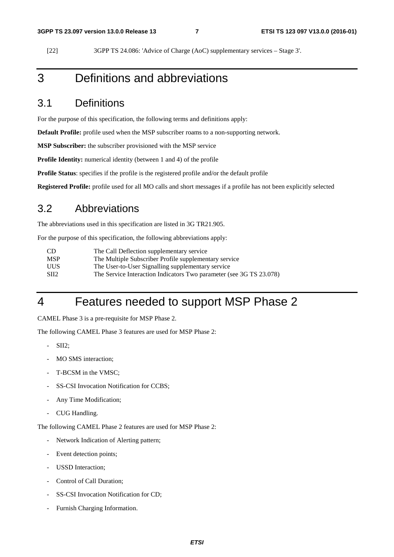[22] 3GPP TS 24.086: 'Advice of Charge (AoC) supplementary services – Stage 3'.

# 3 Definitions and abbreviations

## 3.1 Definitions

For the purpose of this specification, the following terms and definitions apply:

**Default Profile:** profile used when the MSP subscriber roams to a non-supporting network.

**MSP Subscriber:** the subscriber provisioned with the MSP service

**Profile Identity:** numerical identity (between 1 and 4) of the profile

**Profile Status**: specifies if the profile is the registered profile and/or the default profile

**Registered Profile:** profile used for all MO calls and short messages if a profile has not been explicitly selected

## 3.2 Abbreviations

The abbreviations used in this specification are listed in 3G TR21.905.

For the purpose of this specification, the following abbreviations apply:

| -CD             | The Call Deflection supplementary service                           |
|-----------------|---------------------------------------------------------------------|
| <b>MSP</b>      | The Multiple Subscriber Profile supplementary service               |
| <b>UUS</b>      | The User-to-User Signalling supplementary service                   |
| SH <sub>2</sub> | The Service Interaction Indicators Two parameter (see 3G TS 23.078) |

# 4 Features needed to support MSP Phase 2

CAMEL Phase 3 is a pre-requisite for MSP Phase 2.

The following CAMEL Phase 3 features are used for MSP Phase 2:

- SII<sub>2</sub>:
- MO SMS interaction:
- T-BCSM in the VMSC;
- SS-CSI Invocation Notification for CCBS;
- Any Time Modification;
- CUG Handling.

The following CAMEL Phase 2 features are used for MSP Phase 2:

- Network Indication of Alerting pattern;
- Event detection points;
- USSD Interaction:
- Control of Call Duration:
- SS-CSI Invocation Notification for CD;
- Furnish Charging Information.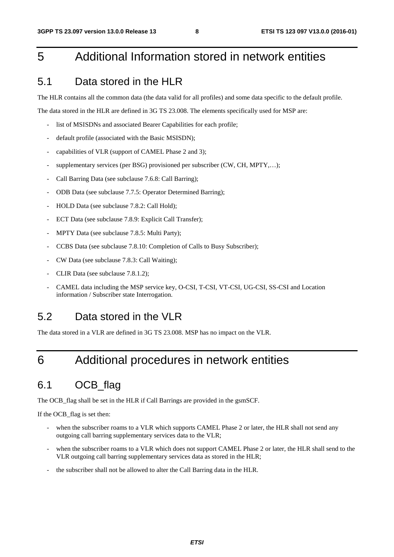# 5 Additional Information stored in network entities

## 5.1 Data stored in the HLR

The HLR contains all the common data (the data valid for all profiles) and some data specific to the default profile.

The data stored in the HLR are defined in 3G TS 23.008. The elements specifically used for MSP are:

- list of MSISDNs and associated Bearer Capabilities for each profile;
- default profile (associated with the Basic MSISDN);
- capabilities of VLR (support of CAMEL Phase 2 and 3);
- supplementary services (per BSG) provisioned per subscriber (CW, CH, MPTY,...);
- Call Barring Data (see subclause 7.6.8: Call Barring);
- ODB Data (see subclause 7.7.5: Operator Determined Barring);
- HOLD Data (see subclause 7.8.2: Call Hold);
- ECT Data (see subclause 7.8.9: Explicit Call Transfer);
- MPTY Data (see subclause 7.8.5: Multi Party);
- CCBS Data (see subclause 7.8.10: Completion of Calls to Busy Subscriber);
- CW Data (see subclause 7.8.3: Call Waiting);
- CLIR Data (see subclause 7.8.1.2);
- CAMEL data including the MSP service key, O-CSI, T-CSI, VT-CSI, UG-CSI, SS-CSI and Location information / Subscriber state Interrogation.

# 5.2 Data stored in the VLR

The data stored in a VLR are defined in 3G TS 23.008. MSP has no impact on the VLR.

# 6 Additional procedures in network entities

# 6.1 OCB\_flag

The OCB\_flag shall be set in the HLR if Call Barrings are provided in the gsmSCF.

If the OCB\_flag is set then:

- when the subscriber roams to a VLR which supports CAMEL Phase 2 or later, the HLR shall not send any outgoing call barring supplementary services data to the VLR;
- when the subscriber roams to a VLR which does not support CAMEL Phase 2 or later, the HLR shall send to the VLR outgoing call barring supplementary services data as stored in the HLR;
- the subscriber shall not be allowed to alter the Call Barring data in the HLR.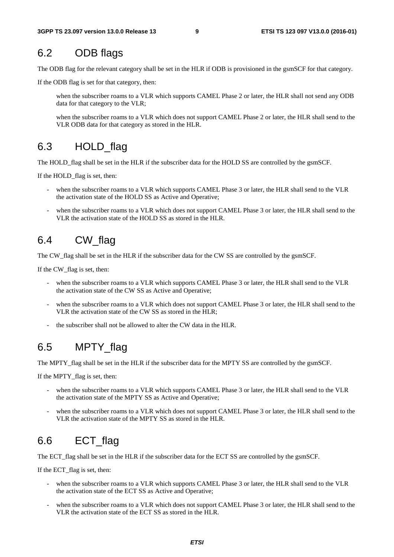# 6.2 ODB flags

The ODB flag for the relevant category shall be set in the HLR if ODB is provisioned in the gsmSCF for that category.

If the ODB flag is set for that category, then:

 when the subscriber roams to a VLR which supports CAMEL Phase 2 or later, the HLR shall not send any ODB data for that category to the VLR;

when the subscriber roams to a VLR which does not support CAMEL Phase 2 or later, the HLR shall send to the VLR ODB data for that category as stored in the HLR.

## 6.3 HOLD flag

The HOLD\_flag shall be set in the HLR if the subscriber data for the HOLD SS are controlled by the gsmSCF.

If the HOLD\_flag is set, then:

- when the subscriber roams to a VLR which supports CAMEL Phase 3 or later, the HLR shall send to the VLR the activation state of the HOLD SS as Active and Operative;
- when the subscriber roams to a VLR which does not support CAMEL Phase 3 or later, the HLR shall send to the VLR the activation state of the HOLD SS as stored in the HLR.

# 6.4 CW\_flag

The CW\_flag shall be set in the HLR if the subscriber data for the CW SS are controlled by the gsmSCF.

If the CW\_flag is set, then:

- when the subscriber roams to a VLR which supports CAMEL Phase 3 or later, the HLR shall send to the VLR the activation state of the CW SS as Active and Operative;
- when the subscriber roams to a VLR which does not support CAMEL Phase 3 or later, the HLR shall send to the VLR the activation state of the CW SS as stored in the HLR;
- the subscriber shall not be allowed to alter the CW data in the HLR.

# 6.5 MPTY\_flag

The MPTY\_flag shall be set in the HLR if the subscriber data for the MPTY SS are controlled by the gsmSCF.

If the MPTY flag is set, then:

- when the subscriber roams to a VLR which supports CAMEL Phase 3 or later, the HLR shall send to the VLR the activation state of the MPTY SS as Active and Operative;
- when the subscriber roams to a VLR which does not support CAMEL Phase 3 or later, the HLR shall send to the VLR the activation state of the MPTY SS as stored in the HLR.

# 6.6 ECT flag

The ECT\_flag shall be set in the HLR if the subscriber data for the ECT SS are controlled by the gsmSCF.

If the ECT\_flag is set, then:

- when the subscriber roams to a VLR which supports CAMEL Phase 3 or later, the HLR shall send to the VLR the activation state of the ECT SS as Active and Operative;
- when the subscriber roams to a VLR which does not support CAMEL Phase 3 or later, the HLR shall send to the VLR the activation state of the ECT SS as stored in the HLR.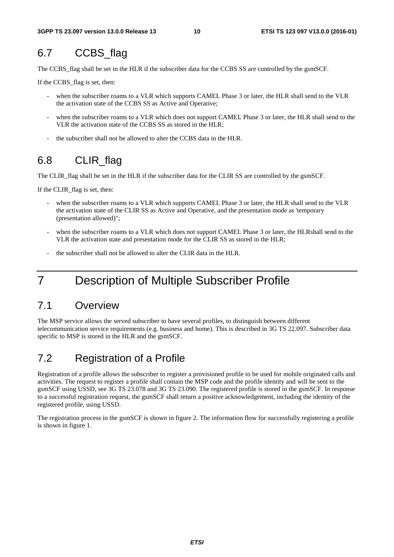# 6.7 CCBS flag

The CCBS\_flag shall be set in the HLR if the subscriber data for the CCBS SS are controlled by the gsmSCF.

If the CCBS\_flag is set, then:

- when the subscriber roams to a VLR which supports CAMEL Phase 3 or later, the HLR shall send to the VLR the activation state of the CCBS SS as Active and Operative;
- when the subscriber roams to a VLR which does not support CAMEL Phase 3 or later, the HLR shall send to the VLR the activation state of the CCBS SS as stored in the HLR;
- the subscriber shall not be allowed to alter the CCBS data in the HLR.

# 6.8 CLIR flag

The CLIR\_flag shall be set in the HLR if the subscriber data for the CLIR SS are controlled by the gsmSCF.

If the CLIR\_flag is set, then:

- when the subscriber roams to a VLR which supports CAMEL Phase 3 or later, the HLR shall send to the VLR the activation state of the CLIR SS as Active and Operative, and the presentation mode as 'temporary (presentation allowed)";
- when the subscriber roams to a VLR which does not support CAMEL Phase 3 or later, the HLRshall send to the VLR the activation state and presentation mode for the CLIR SS as stored in the HLR;
- the subscriber shall not be allowed to alter the CLIR data in the HLR.

# 7 Description of Multiple Subscriber Profile

## 7.1 Overview

The MSP service allows the served subscriber to have several profiles, to distinguish between different telecommunication service requirements (e.g. business and home). This is described in 3G TS 22.097. Subscriber data specific to MSP is stored in the HLR and the gsmSCF.

# 7.2 Registration of a Profile

Registration of a profile allows the subscriber to register a provisioned profile to be used for mobile originated calls and activities. The request to register a profile shall contain the MSP code and the profile identity and will be sent to the gsmSCF using USSD, see 3G TS 23.078 and 3G TS 23.090. The registered profile is stored in the gsmSCF. In response to a successful registration request, the gsmSCF shall return a positive acknowledgement, including the identity of the registered profile, using USSD.

The registration process in the gsmSCF is shown in figure 2. The information flow for successfully registering a profile is shown in figure 1.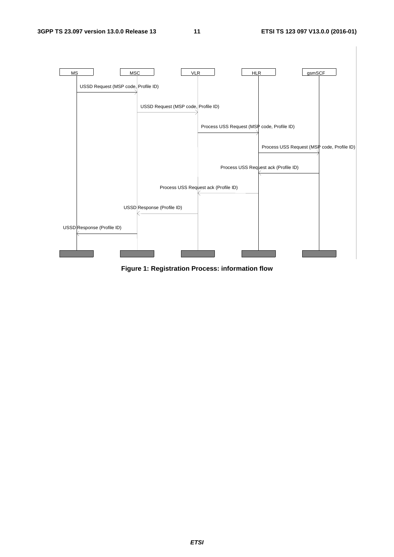

**Figure 1: Registration Process: information flow**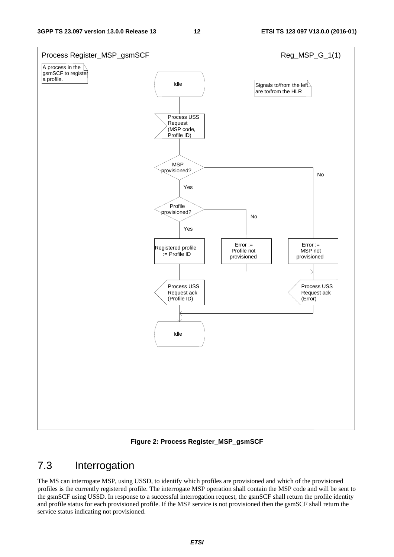

**Figure 2: Process Register\_MSP\_gsmSCF** 

# 7.3 Interrogation

The MS can interrogate MSP, using USSD, to identify which profiles are provisioned and which of the provisioned profiles is the currently registered profile. The interrogate MSP operation shall contain the MSP code and will be sent to the gsmSCF using USSD. In response to a successful interrogation request, the gsmSCF shall return the profile identity and profile status for each provisioned profile. If the MSP service is not provisioned then the gsmSCF shall return the service status indicating not provisioned.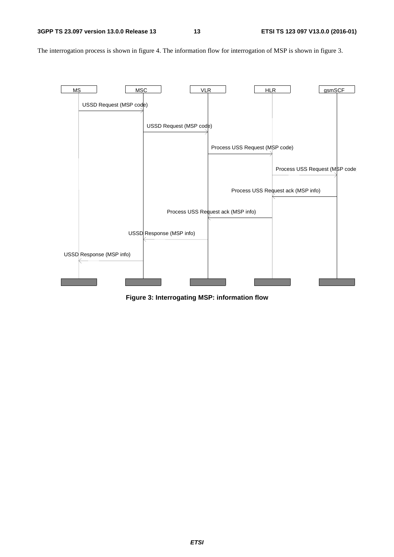MS MSC MSC VLR HLR HER gsmSCF USSD Request (MSP code) USSD Request (MSP code) Process USS Request (MSP code) Process USS Request (MSP code) Process USS Request ack (MSP info) Process USS Request ack (MSP info) USSD Response (MSP info) USSD Response (MSP info)

The interrogation process is shown in figure 4. The information flow for interrogation of MSP is shown in figure 3.

**Figure 3: Interrogating MSP: information flow**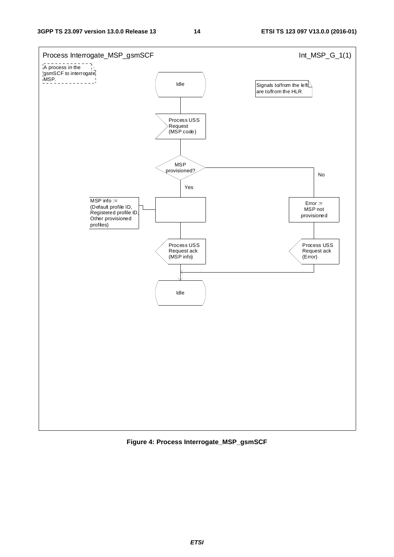

**Figure 4: Process Interrogate\_MSP\_gsmSCF**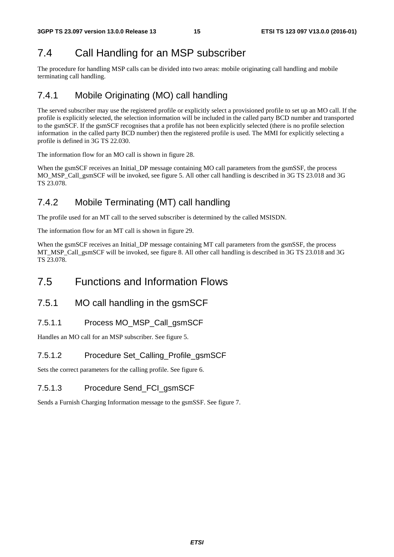# 7.4 Call Handling for an MSP subscriber

The procedure for handling MSP calls can be divided into two areas: mobile originating call handling and mobile terminating call handling.

# 7.4.1 Mobile Originating (MO) call handling

The served subscriber may use the registered profile or explicitly select a provisioned profile to set up an MO call. If the profile is explicitly selected, the selection information will be included in the called party BCD number and transported to the gsmSCF. If the gsmSCF recognises that a profile has not been explicitly selected (there is no profile selection information in the called party BCD number) then the registered profile is used. The MMI for explicitly selecting a profile is defined in 3G TS 22.030.

The information flow for an MO call is shown in figure 28.

When the gsmSCF receives an Initial\_DP message containing MO call parameters from the gsmSSF, the process MO\_MSP\_Call\_gsmSCF will be invoked, see figure 5. All other call handling is described in 3G TS 23.018 and 3G TS 23.078.

# 7.4.2 Mobile Terminating (MT) call handling

The profile used for an MT call to the served subscriber is determined by the called MSISDN.

The information flow for an MT call is shown in figure 29.

When the gsmSCF receives an Initial DP message containing MT call parameters from the gsmSSF, the process MT\_MSP\_Call\_gsmSCF will be invoked, see figure 8. All other call handling is described in 3G TS 23.018 and 3G TS 23.078.

# 7.5 Functions and Information Flows

## 7.5.1 MO call handling in the gsmSCF

### 7.5.1.1 Process MO\_MSP\_Call\_gsmSCF

Handles an MO call for an MSP subscriber. See figure 5.

### 7.5.1.2 Procedure Set\_Calling\_Profile\_gsmSCF

Sets the correct parameters for the calling profile. See figure 6.

### 7.5.1.3 Procedure Send\_FCI\_gsmSCF

Sends a Furnish Charging Information message to the gsmSSF. See figure 7.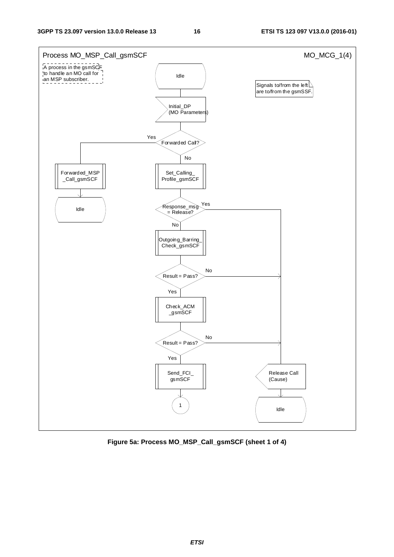

**Figure 5a: Process MO\_MSP\_Call\_gsmSCF (sheet 1 of 4)**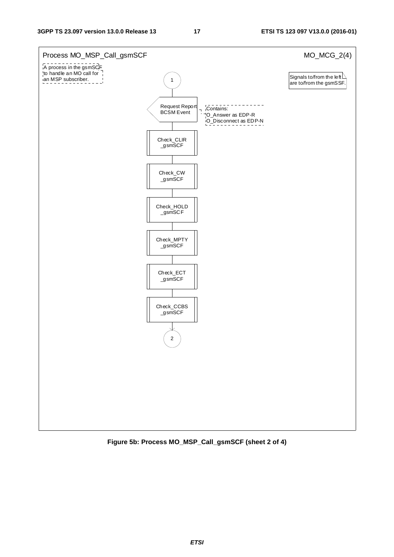

**Figure 5b: Process MO\_MSP\_Call\_gsmSCF (sheet 2 of 4)**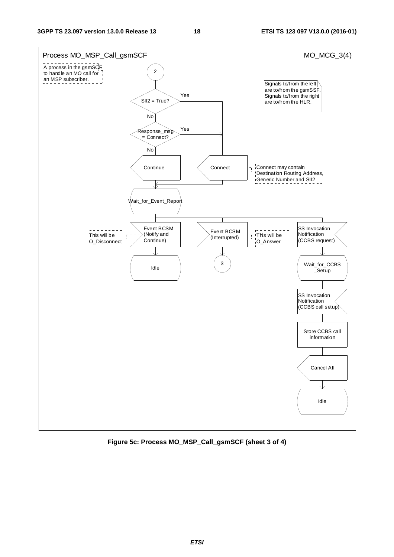

**Figure 5c: Process MO\_MSP\_Call\_gsmSCF (sheet 3 of 4)**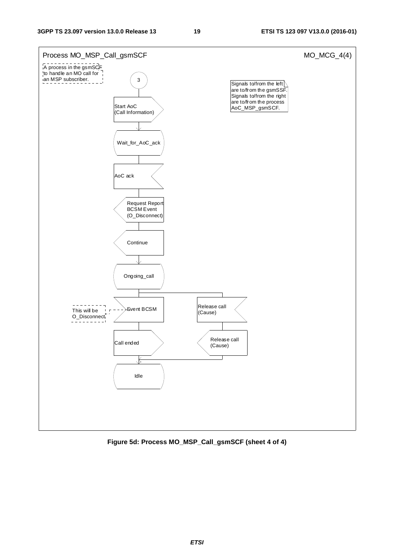

**Figure 5d: Process MO\_MSP\_Call\_gsmSCF (sheet 4 of 4)**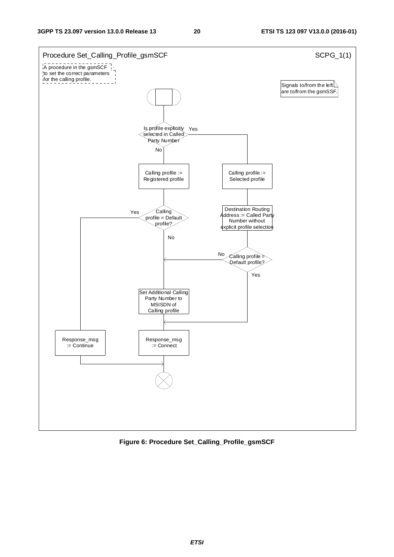

**Figure 6: Procedure Set\_Calling\_Profile\_gsmSCF**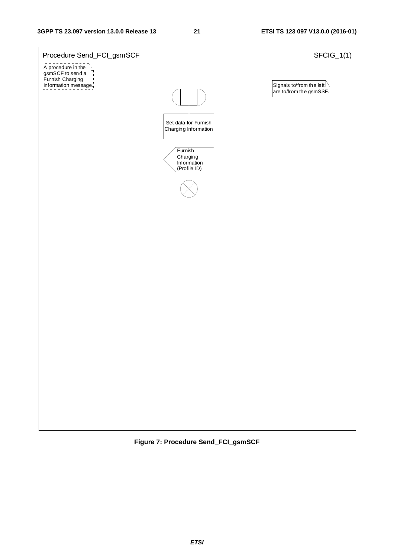

**Figure 7: Procedure Send\_FCI\_gsmSCF**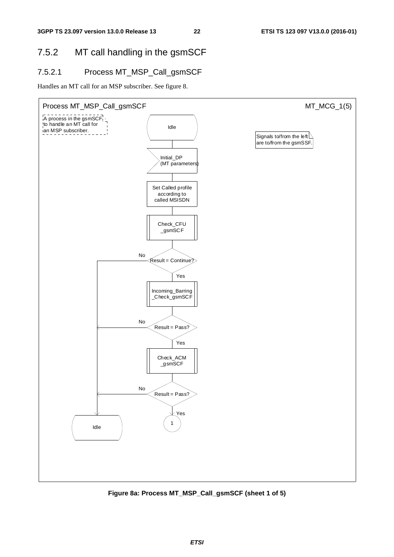# 7.5.2 MT call handling in the gsmSCF

### 7.5.2.1 Process MT\_MSP\_Call\_gsmSCF

Handles an MT call for an MSP subscriber. See figure 8.



**Figure 8a: Process MT\_MSP\_Call\_gsmSCF (sheet 1 of 5)**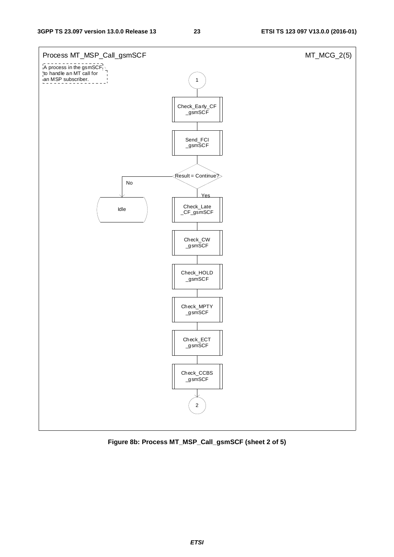

**Figure 8b: Process MT\_MSP\_Call\_gsmSCF (sheet 2 of 5)**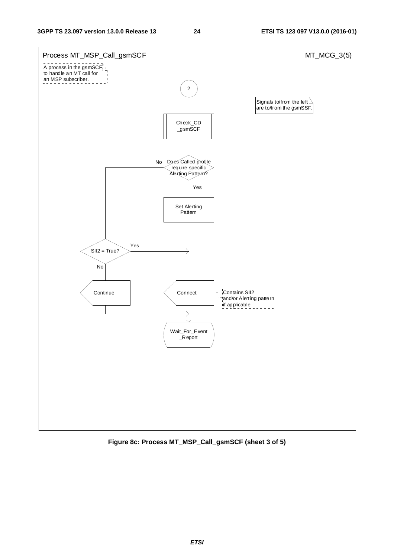

**Figure 8c: Process MT\_MSP\_Call\_gsmSCF (sheet 3 of 5)**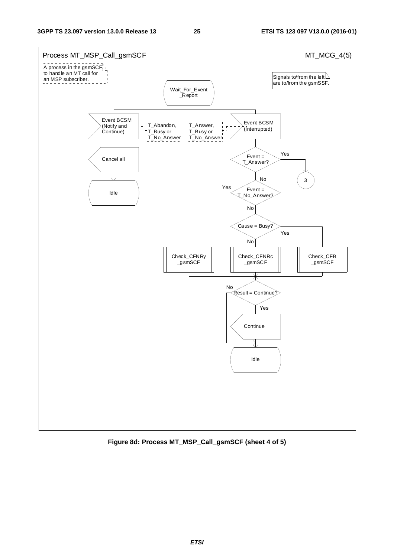

**Figure 8d: Process MT\_MSP\_Call\_gsmSCF (sheet 4 of 5)**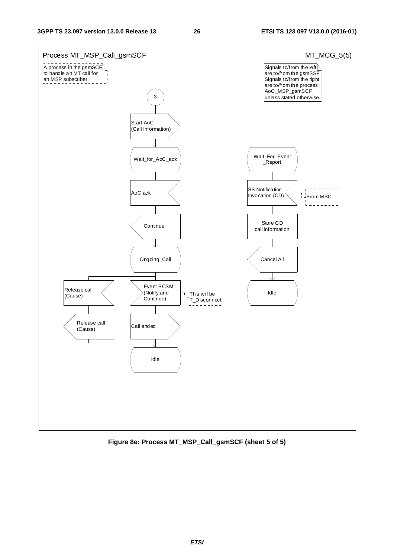

**Figure 8e: Process MT\_MSP\_Call\_gsmSCF (sheet 5 of 5)**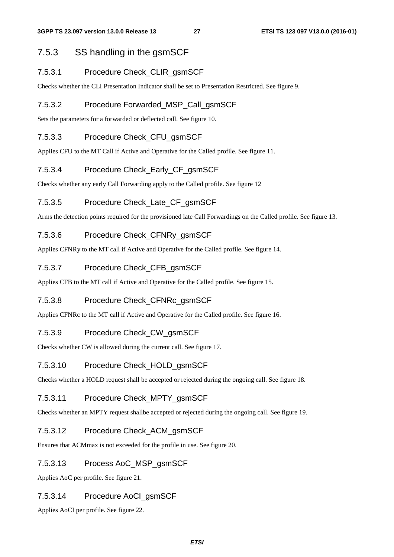### 7.5.3 SS handling in the gsmSCF

### 7.5.3.1 Procedure Check\_CLIR\_gsmSCF

Checks whether the CLI Presentation Indicator shall be set to Presentation Restricted. See figure 9.

### 7.5.3.2 Procedure Forwarded\_MSP\_Call\_gsmSCF

Sets the parameters for a forwarded or deflected call. See figure 10.

### 7.5.3.3 Procedure Check CFU\_asmSCF

Applies CFU to the MT Call if Active and Operative for the Called profile. See figure 11.

### 7.5.3.4 Procedure Check\_Early\_CF\_gsmSCF

Checks whether any early Call Forwarding apply to the Called profile. See figure 12

### 7.5.3.5 Procedure Check Late CF gsmSCF

Arms the detection points required for the provisioned late Call Forwardings on the Called profile. See figure 13.

### 7.5.3.6 Procedure Check\_CFNRy\_gsmSCF

Applies CFNRy to the MT call if Active and Operative for the Called profile. See figure 14.

### 7.5.3.7 Procedure Check\_CFB\_gsmSCF

Applies CFB to the MT call if Active and Operative for the Called profile. See figure 15.

### 7.5.3.8 Procedure Check\_CFNRc\_gsmSCF

Applies CFNRc to the MT call if Active and Operative for the Called profile. See figure 16.

### 7.5.3.9 Procedure Check\_CW\_gsmSCF

Checks whether CW is allowed during the current call. See figure 17.

### 7.5.3.10 Procedure Check\_HOLD\_gsmSCF

Checks whether a HOLD request shall be accepted or rejected during the ongoing call. See figure 18.

### 7.5.3.11 Procedure Check\_MPTY\_gsmSCF

Checks whether an MPTY request shallbe accepted or rejected during the ongoing call. See figure 19.

### 7.5.3.12 Procedure Check\_ACM\_gsmSCF

Ensures that ACMmax is not exceeded for the profile in use. See figure 20.

### 7.5.3.13 Process AoC\_MSP\_gsmSCF

Applies AoC per profile. See figure 21.

### 7.5.3.14 Procedure AoCI\_gsmSCF

Applies AoCI per profile. See figure 22.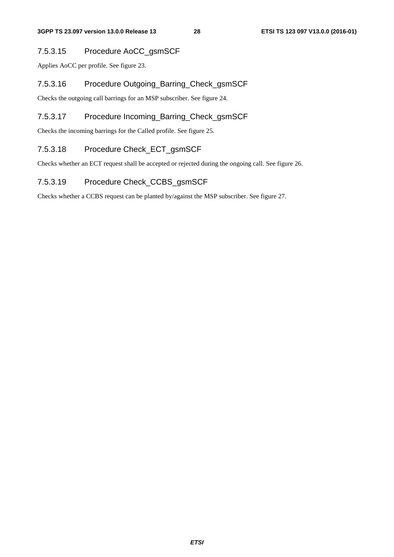### 7.5.3.15 Procedure AoCC\_gsmSCF

Applies AoCC per profile. See figure 23.

### 7.5.3.16 Procedure Outgoing\_Barring\_Check\_gsmSCF

Checks the outgoing call barrings for an MSP subscriber. See figure 24.

### 7.5.3.17 Procedure Incoming\_Barring\_Check\_gsmSCF

Checks the incoming barrings for the Called profile. See figure 25.

### 7.5.3.18 Procedure Check\_ECT\_gsmSCF

Checks whether an ECT request shall be accepted or rejected during the ongoing call. See figure 26.

### 7.5.3.19 Procedure Check\_CCBS\_gsmSCF

Checks whether a CCBS request can be planted by/against the MSP subscriber. See figure 27.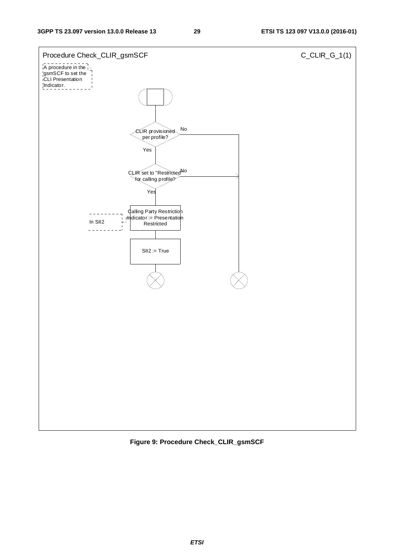

**Figure 9: Procedure Check\_CLIR\_gsmSCF**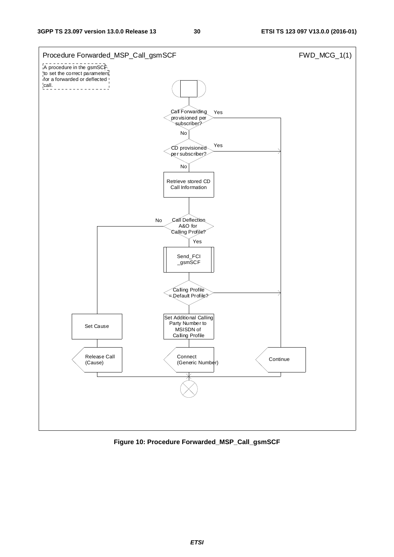

**Figure 10: Procedure Forwarded\_MSP\_Call\_gsmSCF**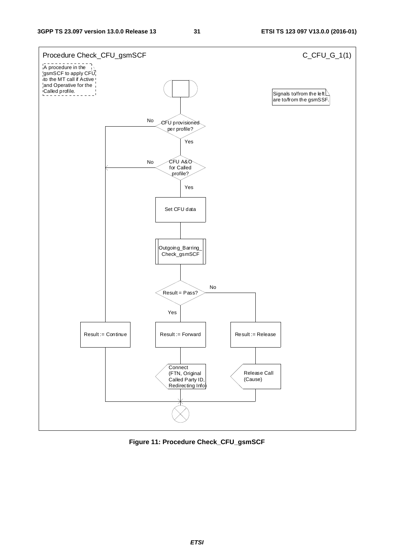

**Figure 11: Procedure Check\_CFU\_gsmSCF**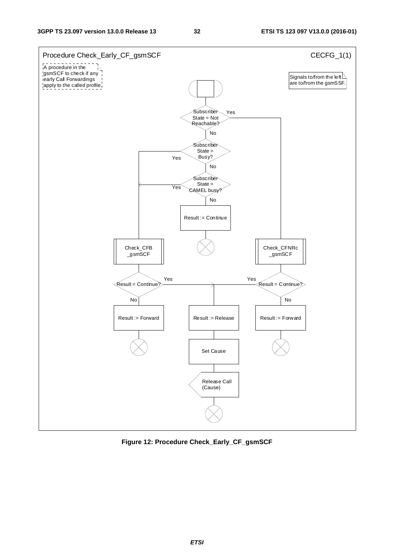

**Figure 12: Procedure Check\_Early\_CF\_gsmSCF**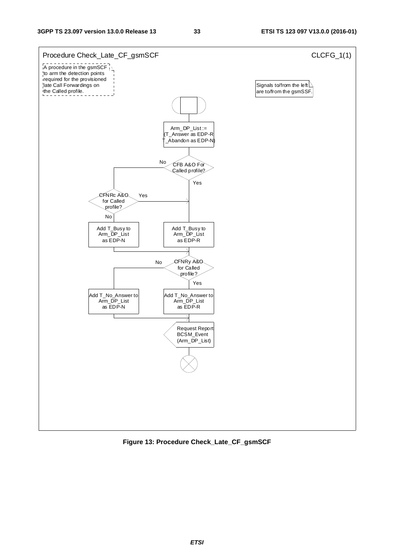

**Figure 13: Procedure Check\_Late\_CF\_gsmSCF**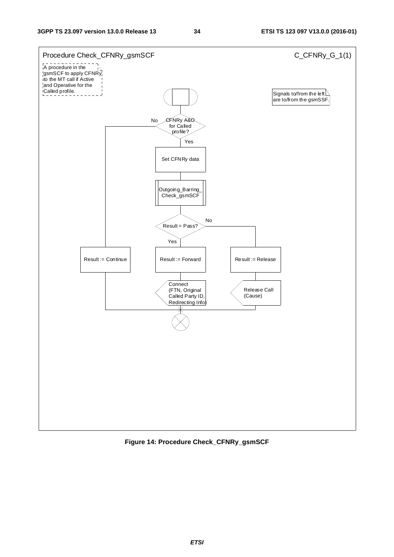

**Figure 14: Procedure Check\_CFNRy\_gsmSCF**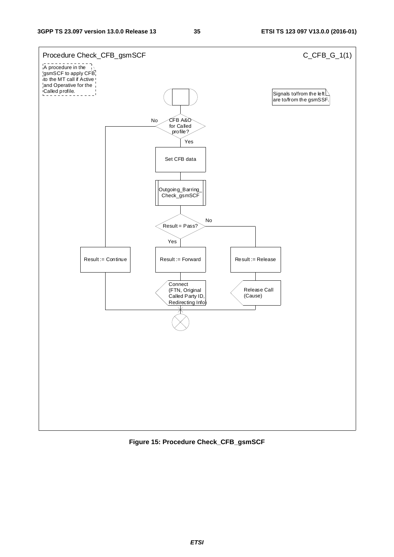

**Figure 15: Procedure Check\_CFB\_gsmSCF**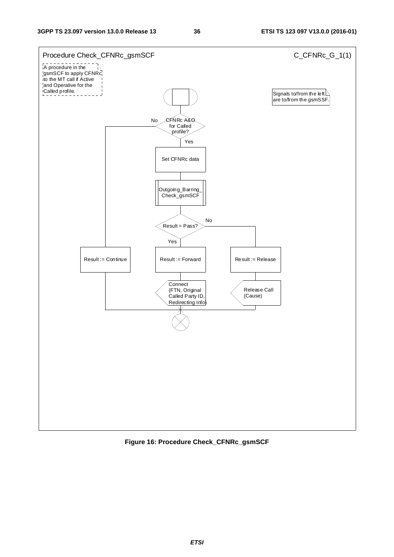

**Figure 16: Procedure Check\_CFNRc\_gsmSCF**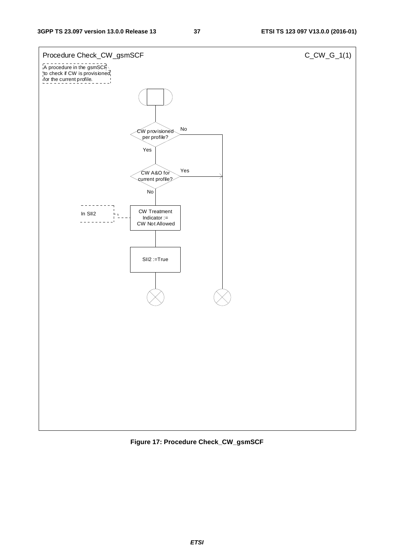

**Figure 17: Procedure Check\_CW\_gsmSCF**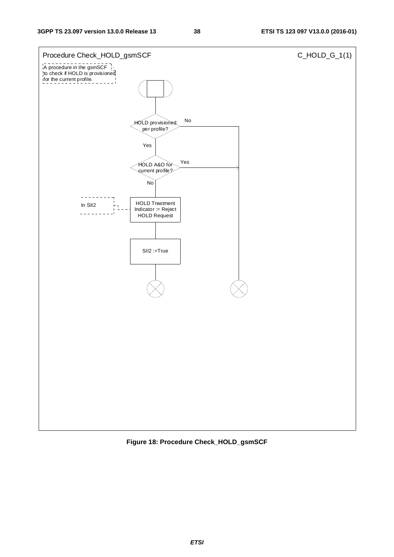

**Figure 18: Procedure Check\_HOLD\_gsmSCF**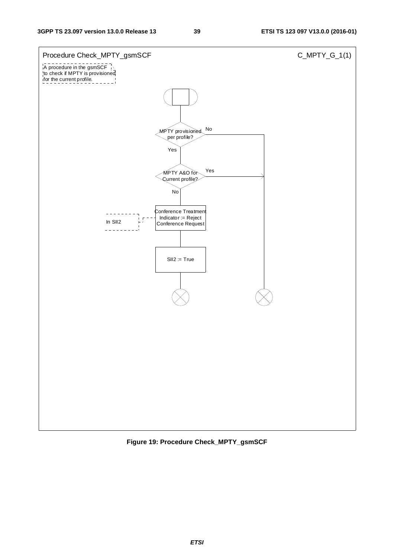

**Figure 19: Procedure Check\_MPTY\_gsmSCF**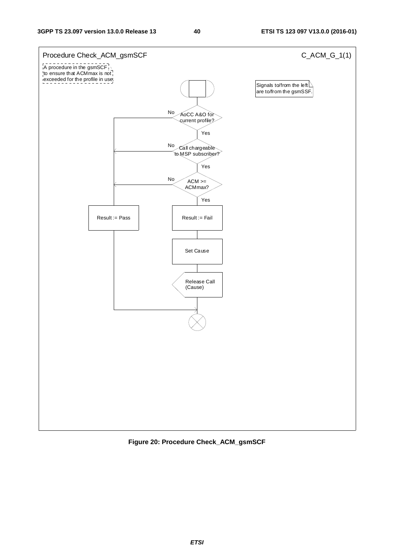

**Figure 20: Procedure Check\_ACM\_gsmSCF**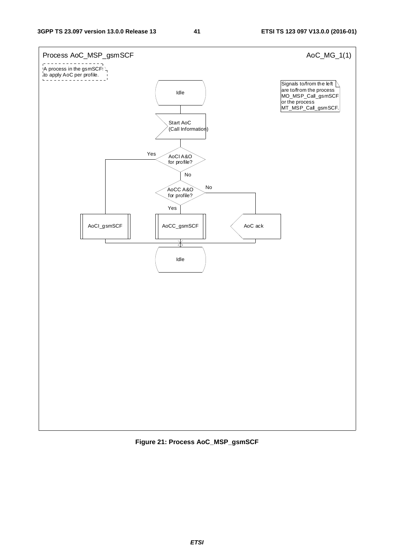

**Figure 21: Process AoC\_MSP\_gsmSCF**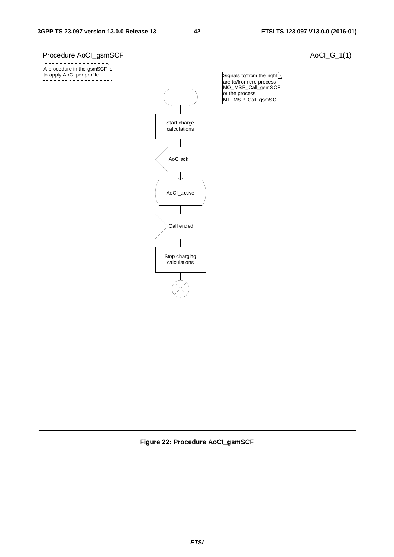

**Figure 22: Procedure AoCI\_gsmSCF**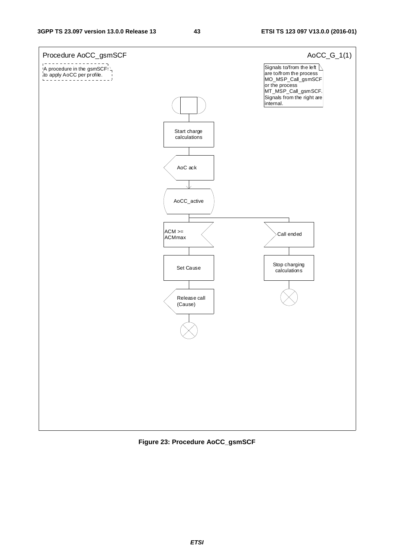

**Figure 23: Procedure AoCC\_gsmSCF**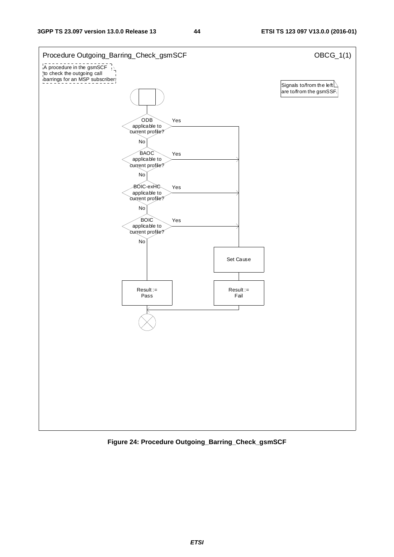

**Figure 24: Procedure Outgoing\_Barring\_Check\_gsmSCF**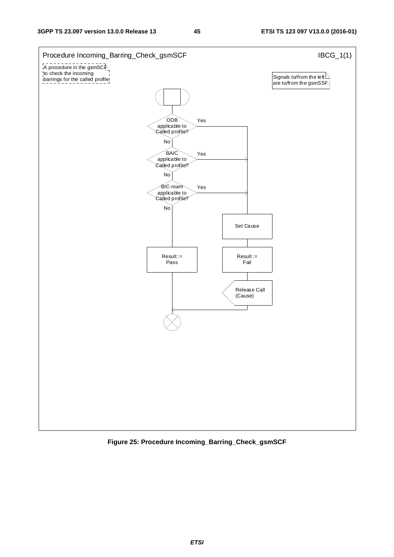

**Figure 25: Procedure Incoming\_Barring\_Check\_gsmSCF**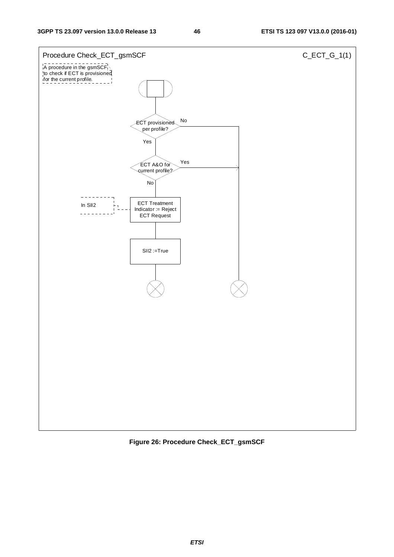

**Figure 26: Procedure Check\_ECT\_gsmSCF**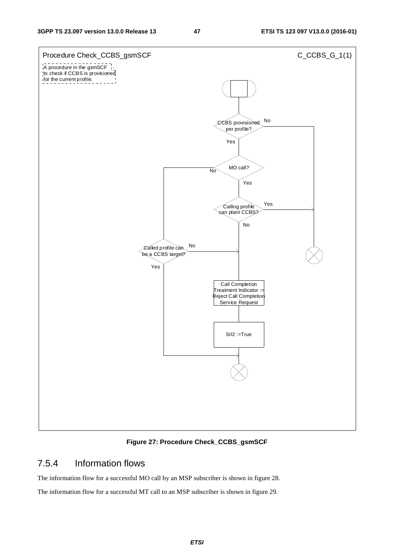

**Figure 27: Procedure Check\_CCBS\_gsmSCF** 

## 7.5.4 Information flows

The information flow for a successful MO call by an MSP subscriber is shown in figure 28.

The information flow for a successful MT call to an MSP subscriber is shown in figure 29.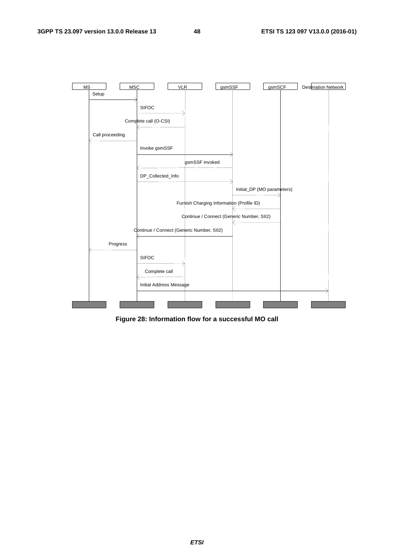

**Figure 28: Information flow for a successful MO call**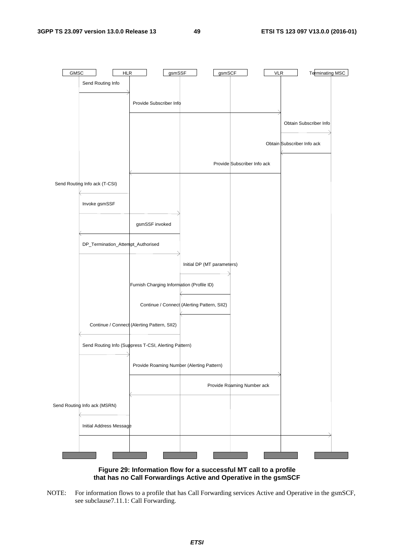

**Figure 29: Information flow for a successful MT call to a profile that has no Call Forwardings Active and Operative in the gsmSCF** 

NOTE: For information flows to a profile that has Call Forwarding services Active and Operative in the gsmSCF, see subclause7.11.1: Call Forwarding.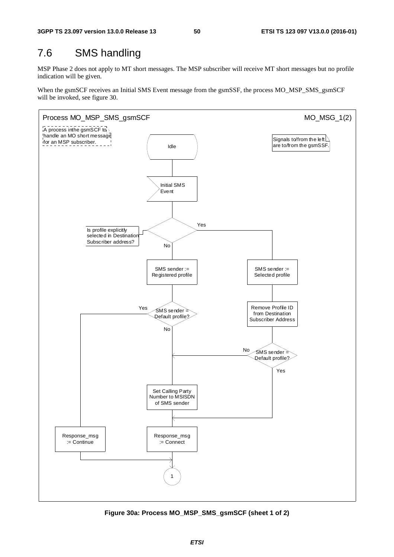# 7.6 SMS handling

MSP Phase 2 does not apply to MT short messages. The MSP subscriber will receive MT short messages but no profile indication will be given.

When the gsmSCF receives an Initial SMS Event message from the gsmSSF, the process MO\_MSP\_SMS\_gsmSCF will be invoked, see figure 30.



**Figure 30a: Process MO\_MSP\_SMS\_gsmSCF (sheet 1 of 2)**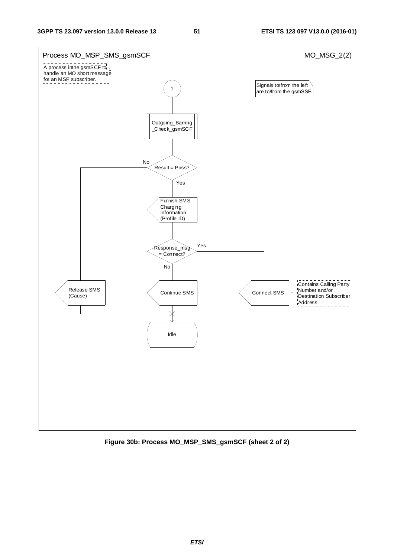

**Figure 30b: Process MO\_MSP\_SMS\_gsmSCF (sheet 2 of 2)**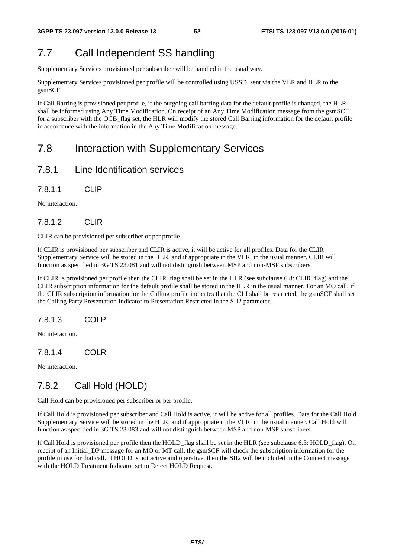# 7.7 Call Independent SS handling

Supplementary Services provisioned per subscriber will be handled in the usual way.

Supplementary Services provisioned per profile will be controlled using USSD, sent via the VLR and HLR to the gsmSCF.

If Call Barring is provisioned per profile, if the outgoing call barring data for the default profile is changed, the HLR shall be informed using Any Time Modification. On receipt of an Any Time Modification message from the gsmSCF for a subscriber with the OCB\_flag set, the HLR will modify the stored Call Barring information for the default profile in accordance with the information in the Any Time Modification message.

# 7.8 Interaction with Supplementary Services

## 7.8.1 Line Identification services

7.8.1.1 CLIP

No interaction.

## 7.8.1.2 CLIR

CLIR can be provisioned per subscriber or per profile.

If CLIR is provisioned per subscriber and CLIR is active, it will be active for all profiles. Data for the CLIR Supplementary Service will be stored in the HLR, and if appropriate in the VLR, in the usual manner. CLIR will function as specified in 3G TS 23.081 and will not distinguish between MSP and non-MSP subscribers.

If CLIR is provisioned per profile then the CLIR\_flag shall be set in the HLR (see subclause 6.8: CLIR\_flag) and the CLIR subscription information for the default profile shall be stored in the HLR in the usual manner. For an MO call, if the CLIR subscription information for the Calling profile indicates that the CLI shall be restricted, the gsmSCF shall set the Calling Party Presentation Indicator to Presentation Restricted in the SII2 parameter.

## 7.8.1.3 COLP

No interaction.

## 7.8.1.4 COLR

No interaction.

# 7.8.2 Call Hold (HOLD)

Call Hold can be provisioned per subscriber or per profile.

If Call Hold is provisioned per subscriber and Call Hold is active, it will be active for all profiles. Data for the Call Hold Supplementary Service will be stored in the HLR, and if appropriate in the VLR, in the usual manner. Call Hold will function as specified in 3G TS 23.083 and will not distinguish between MSP and non-MSP subscribers.

If Call Hold is provisioned per profile then the HOLD\_flag shall be set in the HLR (see subclause 6.3: HOLD\_flag). On receipt of an Initial\_DP message for an MO or MT call, the gsmSCF will check the subscription information for the profile in use for that call. If HOLD is not active and operative, then the SII2 will be included in the Connect message with the HOLD Treatment Indicator set to Reject HOLD Request.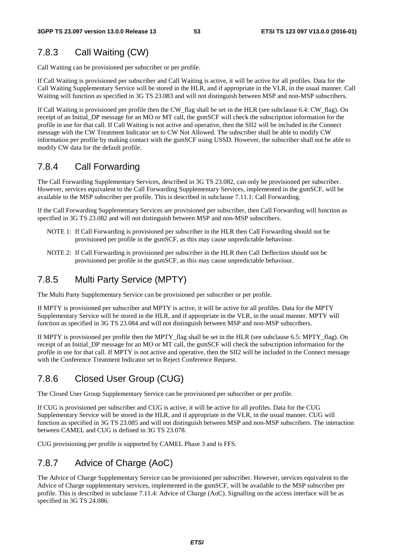### 7.8.3 Call Waiting (CW)

Call Waiting can be provisioned per subscriber or per profile.

If Call Waiting is provisioned per subscriber and Call Waiting is active, it will be active for all profiles. Data for the Call Waiting Supplementary Service will be stored in the HLR, and if appropriate in the VLR, in the usual manner. Call Waiting will function as specified in 3G TS 23.083 and will not distinguish between MSP and non-MSP subscribers.

If Call Waiting is provisioned per profile then the CW\_flag shall be set in the HLR (see subclause 6.4: CW\_flag). On receipt of an Initial DP message for an MO or MT call, the gsmSCF will check the subscription information for the profile in use for that call. If Call Waiting is not active and operative, then the SII2 will be included in the Connect message with the CW Treatment Indicator set to CW Not Allowed. The subscriber shall be able to modify CW information per profile by making contact with the gsmSCF using USSD. However, the subscriber shall not be able to modify CW data for the default profile.

### 7.8.4 Call Forwarding

The Call Forwarding Supplementary Services, described in 3G TS 23.082, can only be provisioned per subscriber. However, services equivalent to the Call Forwarding Supplementary Services, implemented in the gsmSCF, will be available to the MSP subscriber per profile. This is described in subclause 7.11.1: Call Forwarding.

If the Call Forwarding Supplementary Services are provisioned per subscriber, then Call Forwarding will function as specified in 3G TS 23.082 and will not distinguish between MSP and non-MSP subscribers.

- NOTE 1: If Call Forwarding is provisioned per subscriber in the HLR then Call Forwarding should not be provisioned per profile in the gsmSCF, as this may cause unpredictable behaviour.
- NOTE 2: If Call Forwarding is provisioned per subscriber in the HLR then Call Deflection should not be provisioned per profile in the gsmSCF, as this may cause unpredictable behaviour.

### 7.8.5 Multi Party Service (MPTY)

The Multi Party Supplementary Service can be provisioned per subscriber or per profile.

If MPTY is provisioned per subscriber and MPTY is active, it will be active for all profiles. Data for the MPTY Supplementary Service will be stored in the HLR, and if appropriate in the VLR, in the usual manner. MPTY will function as specified in 3G TS 23.084 and will not distinguish between MSP and non-MSP subscribers.

If MPTY is provisioned per profile then the MPTY\_flag shall be set in the HLR (see subclause 6.5: MPTY\_flag). On receipt of an Initial\_DP message for an MO or MT call, the gsmSCF will check the subscription information for the profile in use for that call. If MPTY is not active and operative, then the SII2 will be included in the Connect message with the Conference Treatment Indicator set to Reject Conference Request.

## 7.8.6 Closed User Group (CUG)

The Closed User Group Supplementary Service can be provisioned per subscriber or per profile.

If CUG is provisioned per subscriber and CUG is active, it will be active for all profiles. Data for the CUG Supplementary Service will be stored in the HLR, and if appropriate in the VLR, in the usual manner. CUG will function as specified in 3G TS 23.085 and will not distinguish between MSP and non-MSP subscribers. The interaction between CAMEL and CUG is defined in 3G TS 23.078.

CUG provisioning per profile is supported by CAMEL Phase 3 and is FFS.

## 7.8.7 Advice of Charge (AoC)

The Advice of Charge Supplementary Service can be provisioned per subscriber. However, services equivalent to the Advice of Charge supplementary services, implemented in the gsmSCF, will be available to the MSP subscriber per profile. This is described in subclause 7.11.4: Advice of Charge (AoC). Signalling on the access interface will be as specified in 3G TS 24.086.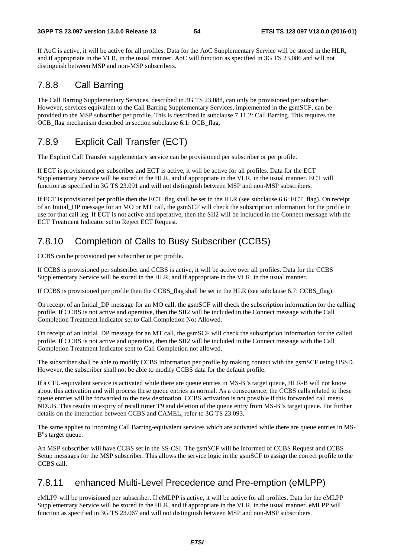If AoC is active, it will be active for all profiles. Data for the AoC Supplementary Service will be stored in the HLR, and if appropriate in the VLR, in the usual manner. AoC will function as specified in 3G TS 23.086 and will not distinguish between MSP and non-MSP subscribers.

## 7.8.8 Call Barring

The Call Barring Supplementary Services, described in 3G TS 23.088, can only be provisioned per subscriber. However, services equivalent to the Call Barring Supplementary Services, implemented in the gsmSCF, can be provided to the MSP subscriber per profile. This is described in subclause 7.11.2: Call Barring. This requires the OCB flag mechanism described in section subclause 6.1: OCB flag.

## 7.8.9 Explicit Call Transfer (ECT)

The Explicit Call Transfer supplementary service can be provisioned per subscriber or per profile.

If ECT is provisioned per subscriber and ECT is active, it will be active for all profiles. Data for the ECT Supplementary Service will be stored in the HLR, and if appropriate in the VLR, in the usual manner. ECT will function as specified in 3G TS 23.091 and will not distinguish between MSP and non-MSP subscribers.

If ECT is provisioned per profile then the ECT flag shall be set in the HLR (see subclause 6.6: ECT flag). On receipt of an Initial\_DP message for an MO or MT call, the gsmSCF will check the subscription information for the profile in use for that call leg. If ECT is not active and operative, then the SII2 will be included in the Connect message with the ECT Treatment Indicator set to Reject ECT Request.

# 7.8.10 Completion of Calls to Busy Subscriber (CCBS)

CCBS can be provisioned per subscriber or per profile.

If CCBS is provisioned per subscriber and CCBS is active, it will be active over all profiles. Data for the CCBS Supplementary Service will be stored in the HLR, and if appropriate in the VLR, in the usual manner.

If CCBS is provisioned per profile then the CCBS\_flag shall be set in the HLR (see subclause 6.7: CCBS\_flag).

On receipt of an Initial\_DP message for an MO call, the gsmSCF will check the subscription information for the calling profile. If CCBS is not active and operative, then the SII2 will be included in the Connect message with the Call Completion Treatment Indicator set to Call Completion Not Allowed.

On receipt of an Initial\_DP message for an MT call, the gsmSCF will check the subscription information for the called profile. If CCBS is not active and operative, then the SII2 will be included in the Connect message with the Call Completion Treatment Indicator sent to Call Completion not allowed.

The subscriber shall be able to modify CCBS information per profile by making contact with the gsmSCF using USSD. However, the subscriber shall not be able to modify CCBS data for the default profile.

If a CFU-equivalent service is activated while there are queue entries in MS-B"s target queue, HLR-B will not know about this activation and will process these queue entries as normal. As a consequence, the CCBS calls related to these queue entries will be forwarded to the new destination. CCBS activation is not possible if this forwarded call meets NDUB. This results in expiry of recall timer T9 and deletion of the queue entry from MS-B"s target queue. For further details on the interaction between CCBS and CAMEL, refer to 3G TS 23.093.

The same applies to Incoming Call Barring-equivalent services which are activated while there are queue entries in MS-B"s target queue.

An MSP subscriber will have CCBS set in the SS-CSI. The gsmSCF will be informed of CCBS Request and CCBS Setup messages for the MSP subscriber. This allows the service logic in the gsmSCF to assign the correct profile to the CCBS call.

## 7.8.11 enhanced Multi-Level Precedence and Pre-emption (eMLPP)

eMLPP will be provisioned per subscriber. If eMLPP is active, it will be active for all profiles. Data for the eMLPP Supplementary Service will be stored in the HLR, and if appropriate in the VLR, in the usual manner. eMLPP will function as specified in 3G TS 23.067 and will not distinguish between MSP and non-MSP subscribers.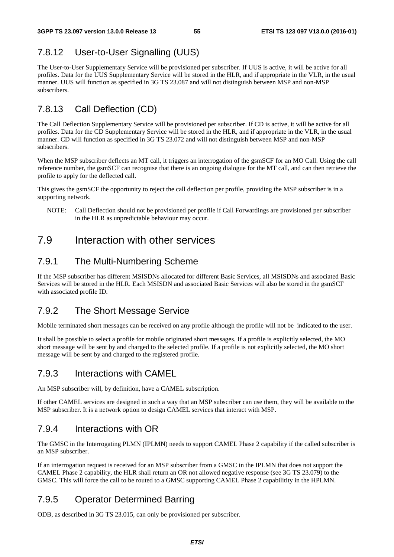# 7.8.12 User-to-User Signalling (UUS)

The User-to-User Supplementary Service will be provisioned per subscriber. If UUS is active, it will be active for all profiles. Data for the UUS Supplementary Service will be stored in the HLR, and if appropriate in the VLR, in the usual manner. UUS will function as specified in 3G TS 23.087 and will not distinguish between MSP and non-MSP subscribers.

# 7.8.13 Call Deflection (CD)

The Call Deflection Supplementary Service will be provisioned per subscriber. If CD is active, it will be active for all profiles. Data for the CD Supplementary Service will be stored in the HLR, and if appropriate in the VLR, in the usual manner. CD will function as specified in 3G TS 23.072 and will not distinguish between MSP and non-MSP subscribers.

When the MSP subscriber deflects an MT call, it triggers an interrogation of the gsmSCF for an MO Call. Using the call reference number, the gsmSCF can recognise that there is an ongoing dialogue for the MT call, and can then retrieve the profile to apply for the deflected call.

This gives the gsmSCF the opportunity to reject the call deflection per profile, providing the MSP subscriber is in a supporting network.

NOTE: Call Deflection should not be provisioned per profile if Call Forwardings are provisioned per subscriber in the HLR as unpredictable behaviour may occur.

# 7.9 Interaction with other services

## 7.9.1 The Multi-Numbering Scheme

If the MSP subscriber has different MSISDNs allocated for different Basic Services, all MSISDNs and associated Basic Services will be stored in the HLR. Each MSISDN and associated Basic Services will also be stored in the gsmSCF with associated profile ID.

## 7.9.2 The Short Message Service

Mobile terminated short messages can be received on any profile although the profile will not be indicated to the user.

It shall be possible to select a profile for mobile originated short messages. If a profile is explicitly selected, the MO short message will be sent by and charged to the selected profile. If a profile is not explicitly selected, the MO short message will be sent by and charged to the registered profile.

### 7.9.3 Interactions with CAMEL

An MSP subscriber will, by definition, have a CAMEL subscription.

If other CAMEL services are designed in such a way that an MSP subscriber can use them, they will be available to the MSP subscriber. It is a network option to design CAMEL services that interact with MSP.

## 7.9.4 Interactions with OR

The GMSC in the Interrogating PLMN (IPLMN) needs to support CAMEL Phase 2 capability if the called subscriber is an MSP subscriber.

If an interrogation request is received for an MSP subscriber from a GMSC in the IPLMN that does not support the CAMEL Phase 2 capability, the HLR shall return an OR not allowed negative response (see 3G TS 23.079) to the GMSC. This will force the call to be routed to a GMSC supporting CAMEL Phase 2 capabilitity in the HPLMN.

## 7.9.5 Operator Determined Barring

ODB, as described in 3G TS 23.015, can only be provisioned per subscriber.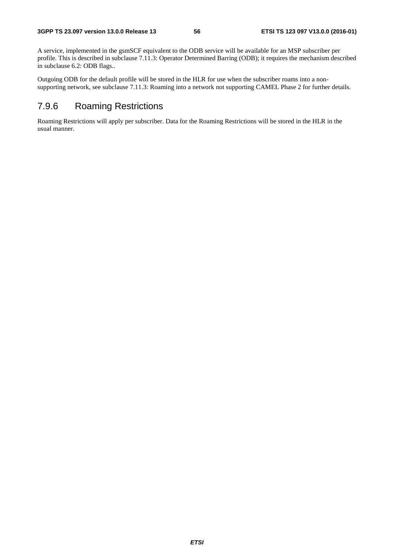A service, implemented in the gsmSCF equivalent to the ODB service will be available for an MSP subscriber per profile. This is described in subclause 7.11.3: Operator Determined Barring (ODB); it requires the mechanism described in subclause 6.2: ODB flags..

Outgoing ODB for the default profile will be stored in the HLR for use when the subscriber roams into a nonsupporting network, see subclause 7.11.3: Roaming into a network not supporting CAMEL Phase 2 for further details.

## 7.9.6 Roaming Restrictions

Roaming Restrictions will apply per subscriber. Data for the Roaming Restrictions will be stored in the HLR in the usual manner.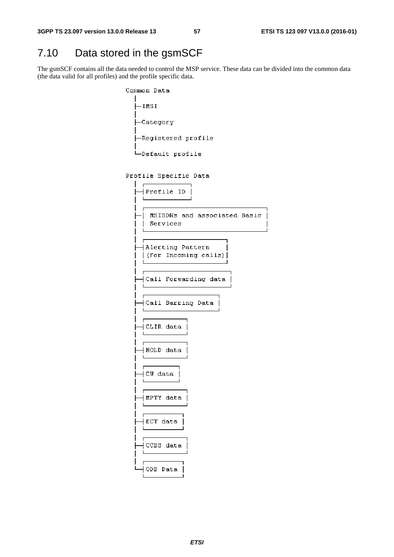# 7.10 Data stored in the gsmSCF

The gsmSCF contains all the data needed to control the MSP service. These data can be divided into the common data (the data valid for all profiles) and the profile specific data.

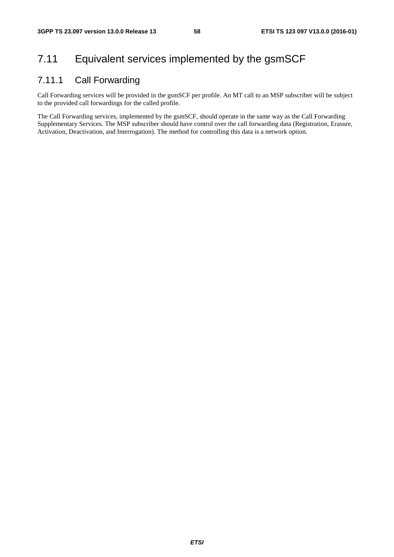# 7.11 Equivalent services implemented by the gsmSCF

## 7.11.1 Call Forwarding

Call Forwarding services will be provided in the gsmSCF per profile. An MT call to an MSP subscriber will be subject to the provided call forwardings for the called profile.

The Call Forwarding services, implemented by the gsmSCF, should operate in the same way as the Call Forwarding Supplementary Services. The MSP subscriber should have control over the call forwarding data (Registration, Erasure, Activation, Deactivation, and Interrogation). The method for controlling this data is a network option.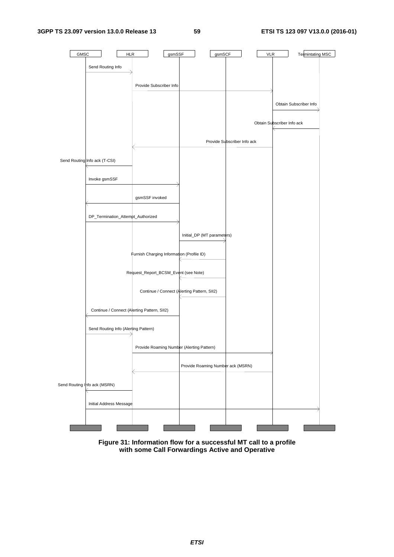

**Figure 31: Information flow for a successful MT call to a profile with some Call Forwardings Active and Operative**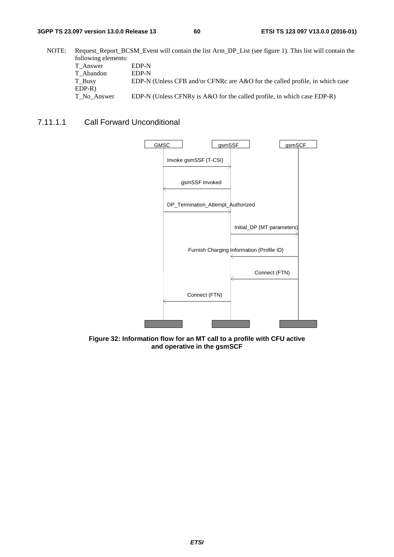NOTE: Request Report BCSM Event will contain the list Arm DP\_List (see figure 1). This list will contain the following elements: T\_Answer EDP-N T\_Abandon EDP-N T\_Busy EDP-N (Unless CFB and/or CFNRc are A&O for the called profile, in which case EDP-R) T\_No\_Answer EDP-N (Unless CFNRy is A&O for the called profile, in which case EDP-R)

### 7.11.1.1 Call Forward Unconditional



**Figure 32: Information flow for an MT call to a profile with CFU active and operative in the gsmSCF**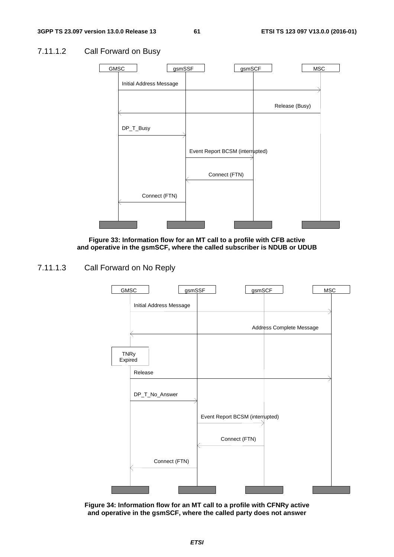### 7.11.1.2 Call Forward on Busy



**Figure 33: Information flow for an MT call to a profile with CFB active and operative in the gsmSCF, where the called subscriber is NDUB or UDUB** 

### 7.11.1.3 Call Forward on No Reply



**Figure 34: Information flow for an MT call to a profile with CFNRy active and operative in the gsmSCF, where the called party does not answer**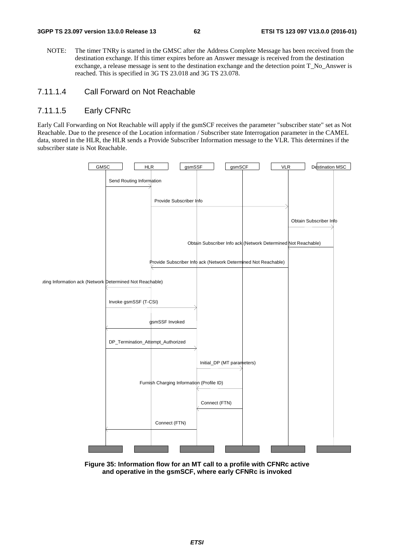NOTE: The timer TNRy is started in the GMSC after the Address Complete Message has been received from the destination exchange. If this timer expires before an Answer message is received from the destination exchange, a release message is sent to the destination exchange and the detection point T\_No\_Answer is reached. This is specified in 3G TS 23.018 and 3G TS 23.078.

### 7.11.1.4 Call Forward on Not Reachable

### 7.11.1.5 Early CFNRc

Early Call Forwarding on Not Reachable will apply if the gsmSCF receives the parameter "subscriber state" set as Not Reachable. Due to the presence of the Location information / Subscriber state Interrogation parameter in the CAMEL data, stored in the HLR, the HLR sends a Provide Subscriber Information message to the VLR. This determines if the subscriber state is Not Reachable.



**Figure 35: Information flow for an MT call to a profile with CFNRc active and operative in the gsmSCF, where early CFNRc is invoked**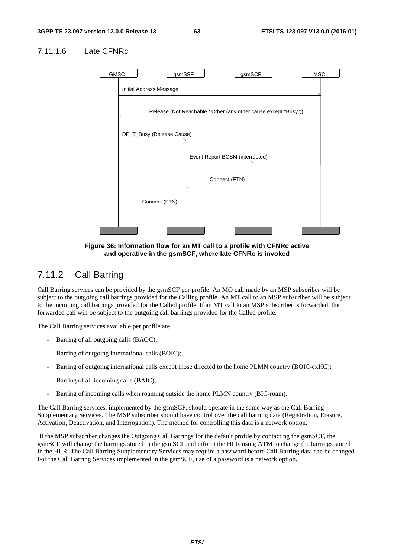### 7.11.1.6 Late CFNRc



**Figure 36: Information flow for an MT call to a profile with CFNRc active and operative in the gsmSCF, where late CFNRc is invoked** 

### 7.11.2 Call Barring

Call Barring services can be provided by the gsmSCF per profile. An MO call made by an MSP subscriber will be subject to the outgoing call barrings provided for the Calling profile. An MT call to an MSP subscriber will be subject to the incoming call barrings provided for the Called profile. If an MT call to an MSP subscriber is forwarded, the forwarded call will be subject to the outgoing call barrings provided for the Called profile.

The Call Barring services available per profile are:

- Barring of all outgoing calls (BAOC);
- Barring of outgoing international calls (BOIC);
- Barring of outgoing international calls except those directed to the home PLMN country (BOIC-exHC);
- Barring of all incoming calls (BAIC);
- Barring of incoming calls when roaming outside the home PLMN country (BIC-roam).

The Call Barring services, implemented by the gsmSCF, should operate in the same way as the Call Barring Supplementary Services. The MSP subscriber should have control over the call barring data (Registration, Erasure, Activation, Deactivation, and Interrogation). The method for controlling this data is a network option.

 If the MSP subscriber changes the Outgoing Call Barrings for the default profile by contacting the gsmSCF, the gsmSCF will change the barrings stored in the gsmSCF and inform the HLR using ATM to change the barrings stored in the HLR. The Call Barring Supplementary Services may require a password before Call Barring data can be changed. For the Call Barring Services implemented in the gsmSCF, use of a password is a network option.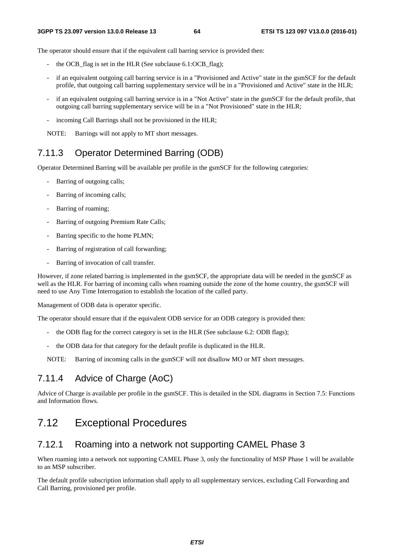The operator should ensure that if the equivalent call barring service is provided then:

- the OCB\_flag is set in the HLR (See subclause 6.1:OCB\_flag);
- if an equivalent outgoing call barring service is in a "Provisioned and Active" state in the gsmSCF for the default profile, that outgoing call barring supplementary service will be in a "Provisioned and Active" state in the HLR;
- if an equivalent outgoing call barring service is in a "Not Active" state in the gsmSCF for the default profile, that outgoing call barring supplementary service will be in a "Not Provisioned" state in the HLR;
- incoming Call Barrings shall not be provisioned in the HLR;

NOTE: Barrings will not apply to MT short messages.

### 7.11.3 Operator Determined Barring (ODB)

Operator Determined Barring will be available per profile in the gsmSCF for the following categories:

- Barring of outgoing calls;
- Barring of incoming calls:
- Barring of roaming;
- Barring of outgoing Premium Rate Calls;
- Barring specific to the home PLMN;
- Barring of registration of call forwarding;
- Barring of invocation of call transfer.

However, if zone related barring is implemented in the gsmSCF, the appropriate data will be needed in the gsmSCF as well as the HLR. For barring of incoming calls when roaming outside the zone of the home country, the gsmSCF will need to use Any Time Interrogation to establish the location of the called party.

Management of ODB data is operator specific.

The operator should ensure that if the equivalent ODB service for an ODB category is provided then:

- the ODB flag for the correct category is set in the HLR (See subclause 6.2: ODB flags);
- the ODB data for that category for the default profile is duplicated in the HLR.

NOTE: Barring of incoming calls in the gsmSCF will not disallow MO or MT short messages.

## 7.11.4 Advice of Charge (AoC)

Advice of Charge is available per profile in the gsmSCF. This is detailed in the SDL diagrams in Section 7.5: Functions and Information flows.

## 7.12 Exceptional Procedures

### 7.12.1 Roaming into a network not supporting CAMEL Phase 3

When roaming into a network not supporting CAMEL Phase 3, only the functionality of MSP Phase 1 will be available to an MSP subscriber.

The default profile subscription information shall apply to all supplementary services, excluding Call Forwarding and Call Barring, provisioned per profile.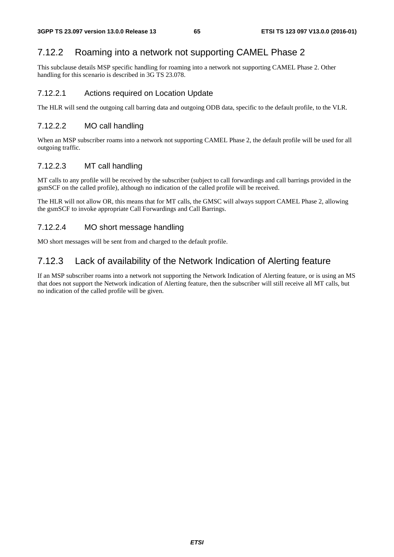## 7.12.2 Roaming into a network not supporting CAMEL Phase 2

This subclause details MSP specific handling for roaming into a network not supporting CAMEL Phase 2. Other handling for this scenario is described in 3G TS 23.078.

### 7.12.2.1 Actions required on Location Update

The HLR will send the outgoing call barring data and outgoing ODB data, specific to the default profile, to the VLR.

### 7.12.2.2 MO call handling

When an MSP subscriber roams into a network not supporting CAMEL Phase 2, the default profile will be used for all outgoing traffic.

### 7.12.2.3 MT call handling

MT calls to any profile will be received by the subscriber (subject to call forwardings and call barrings provided in the gsmSCF on the called profile), although no indication of the called profile will be received.

The HLR will not allow OR, this means that for MT calls, the GMSC will always support CAMEL Phase 2, allowing the gsmSCF to invoke appropriate Call Forwardings and Call Barrings.

### 7.12.2.4 MO short message handling

MO short messages will be sent from and charged to the default profile.

### 7.12.3 Lack of availability of the Network Indication of Alerting feature

If an MSP subscriber roams into a network not supporting the Network Indication of Alerting feature, or is using an MS that does not support the Network indication of Alerting feature, then the subscriber will still receive all MT calls, but no indication of the called profile will be given.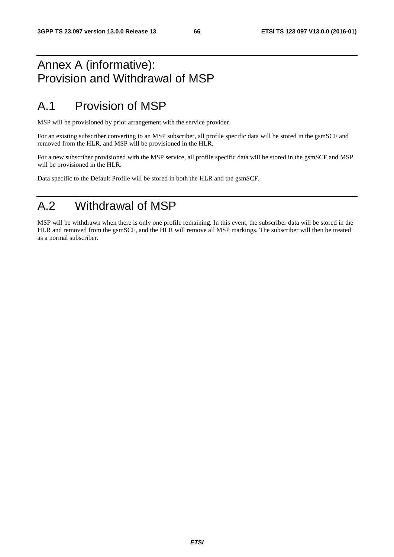# Annex A (informative): Provision and Withdrawal of MSP

# A.1 Provision of MSP

MSP will be provisioned by prior arrangement with the service provider.

For an existing subscriber converting to an MSP subscriber, all profile specific data will be stored in the gsmSCF and removed from the HLR, and MSP will be provisioned in the HLR.

For a new subscriber provisioned with the MSP service, all profile specific data will be stored in the gsmSCF and MSP will be provisioned in the HLR.

Data specific to the Default Profile will be stored in both the HLR and the gsmSCF.

# A.2 Withdrawal of MSP

MSP will be withdrawn when there is only one profile remaining. In this event, the subscriber data will be stored in the HLR and removed from the gsmSCF, and the HLR will remove all MSP markings. The subscriber will then be treated as a normal subscriber.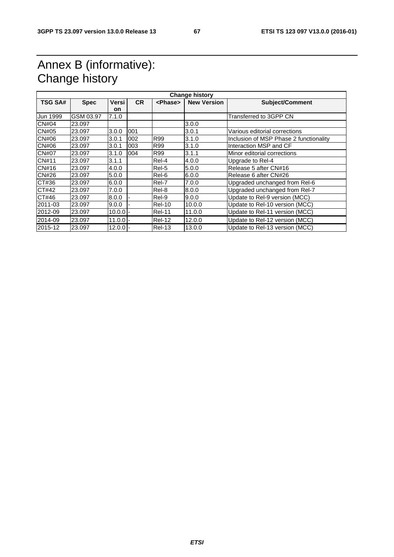# Annex B (informative): Change history

| <b>TSG SA#</b> | <b>Spec</b> | Versi      | CR. | <phase></phase> | <b>New Version</b> | <b>Subject/Comment</b>                 |
|----------------|-------------|------------|-----|-----------------|--------------------|----------------------------------------|
|                |             | <b>on</b>  |     |                 |                    |                                        |
| Jun 1999       | GSM 03.97   | 7.1.0      |     |                 |                    | Transferred to 3GPP CN                 |
| CN#04          | 23.097      |            |     |                 | 3.0.0              |                                        |
| CN#05          | 23.097      | 3.0.0      | 001 |                 | 3.0.1              | Various editorial corrections          |
| CN#06          | 23.097      | 3.0.1      | 002 | R99             | 3.1.0              | Inclusion of MSP Phase 2 functionality |
| CN#06          | 23.097      | 3.0.1      | 003 | R99             | 3.1.0              | Interaction MSP and CF                 |
| <b>CN#07</b>   | 23.097      | 3.1.0      | 004 | R99             | 3.1.1              | Minor editorial corrections            |
| CN#11          | 23.097      | 3.1.1      |     | Rel-4           | 4.0.0              | Upgrade to Rel-4                       |
| CN#16          | 23.097      | 4.0.0      |     | Rel-5           | 5.0.0              | Release 5 after CN#16                  |
| CN#26          | 23.097      | 5.0.0      |     | Rel-6           | 6.0.0              | Release 6 after CN#26                  |
| CT#36          | 23.097      | 6.0.0      |     | Rel-7           | 7.0.0              | Upgraded unchanged from Rel-6          |
| CT#42          | 23.097      | 7.0.0      |     | Rel-8           | 8.0.0              | Upgraded unchanged from Rel-7          |
| CT#46          | 23.097      | 8.0.0      |     | Rel-9           | 9.0.0              | Update to Rel-9 version (MCC)          |
| 2011-03        | 23.097      | 9.0.0      |     | <b>Rel-10</b>   | 10.0.0             | Update to Rel-10 version (MCC)         |
| 2012-09        | 23.097      | $10.0.0$ - |     | <b>Rel-11</b>   | 11.0.0             | Update to Rel-11 version (MCC)         |
| 2014-09        | 23.097      | $11.0.0$ - |     | Rel-12          | 12.0.0             | Update to Rel-12 version (MCC)         |
| 2015-12        | 23.097      | $12.0.0 -$ |     | <b>Rel-13</b>   | 13.0.0             | Update to Rel-13 version (MCC)         |